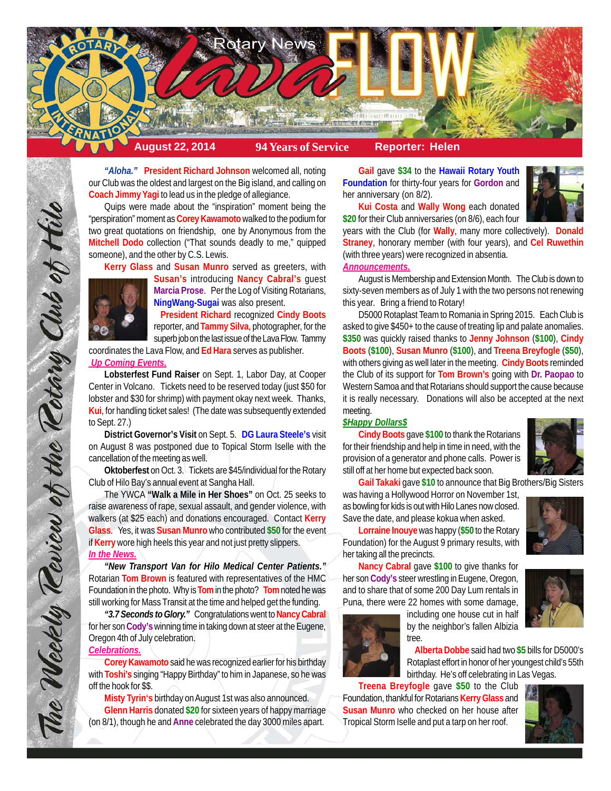

*"Aloha."* **President Richard Johnson** welcomed all, noting our Club was the oldest and largest on the Big island, and calling on **Coach Jimmy Yagi** to lead us in the pledge of allegiance.

Quips were made about the "inspiration" moment being the "perspiration" moment as **Corey Kawamoto** walked to the podium for two great quotations on friendship, one by Anonymous from the **Mitchell Dodo** collection ("That sounds deadly to me," quipped someone), and the other by C.S. Lewis.

**Kerry Glass** and **Susan Munro** served as greeters, with



**Susan's** introducing **Nancy Cabral's** guest **Marcia Prose**. Per the Log of Visiting Rotarians, **NingWang-Sugai** was also present.

**President Richard** recognized **Cindy Boots** reporter, and **Tammy Silva**, photographer, for the superb job on the last issue of the Lava Flow. Tammy

coordinates the Lava Flow, and **Ed Hara** serves as publisher.  *Up Coming Events.*

The Weekly Review of the Rotary Club of Hilo

**Lobsterfest Fund Raiser** on Sept. 1, Labor Day, at Cooper Center in Volcano. Tickets need to be reserved today (just \$50 for lobster and \$30 for shrimp) with payment okay next week. Thanks, **Kui**, for handling ticket sales! (The date was subsequently extended to Sept. 27.)

**District Governor's Visit** on Sept. 5. **DG Laura Steele's** visit on August 8 was postponed due to Topical Storm Iselle with the cancellation of the meeting as well.

**Oktoberfest** on Oct. 3. Tickets are \$45/individual for the Rotary Club of Hilo Bay's annual event at Sangha Hall.

The YWCA **"Walk a Mile in Her Shoes"** on Oct. 25 seeks to raise awareness of rape, sexual assault, and gender violence, with walkers (at \$25 each) and donations encouraged. Contact **Kerry Glass**. Yes, it was **Susan Munro** who contributed **\$50** for the event if **Kerry** wore high heels this year and not just pretty slippers. *In the News.*

*"New Transport Van for Hilo Medical Center Patients."* Rotarian **Tom Brown** is featured with representatives of the HMC Foundation in the photo. Why is **Tom** in the photo? **Tom** noted he was still working for Mass Transit at the time and helped get the funding.

*"3.7 Seconds to Glory."* Congratulations went to **Nancy Cabral** for her son **Cody's** winning time in taking down at steer at the Eugene, Oregon 4th of July celebration. *Celebrations.*

# **Corey Kawamoto** said he was recognized earlier for his birthday with **Toshi's** singing "Happy Birthday" to him in Japanese, so he was off the hook for \$\$.

**Misty Tyrin's** birthday on August 1st was also announced. **Glenn Harris** donated **\$20** for sixteen years of happy marriage (on 8/1), though he and **Anne** celebrated the day 3000 miles apart.

**Gail** gave **\$34** to the **Hawaii Rotary Youth Foundation** for thirty-four years for **Gordon** and her anniversary (on 8/2).



**Kui Costa** and **Wally Wong** each donated **\$20** for their Club anniversaries (on 8/6), each four

years with the Club (for **Wally**, many more collectively). **Donald Straney**, honorary member (with four years), and **Cel Ruwethin** (with three years) were recognized in absentia.

## *Announcements.*

August is Membership and Extension Month. The Club is down to sixty-seven members as of July 1 with the two persons not renewing this year. Bring a friend to Rotary!

D5000 Rotaplast Team to Romania in Spring 2015. Each Club is asked to give \$450+ to the cause of treating lip and palate anomalies. **\$350** was quickly raised thanks to **Jenny Johnson** (**\$100**), **Cindy Boots** (**\$100**), **Susan Munro** (**\$100**), and **Treena Breyfogle** (**\$50**), with others giving as well later in the meeting. **Cindy Boots** reminded the Club of its support for **Tom Brown's** going with **Dr. Paopao** to Western Samoa and that Rotarians should support the cause because it is really necessary. Donations will also be accepted at the next meeting.

## *\$Happy Dollars\$*

**Cindy Boots** gave **\$100** to thank the Rotarians for their friendship and help in time in need, with the provision of a generator and phone calls. Power is still off at her home but expected back soon.



**Gail Takaki** gave **\$10** to announce that Big Brothers/Big Sisters

was having a Hollywood Horror on November 1st, as bowling for kids is out with Hilo Lanes now closed. Save the date, and please kokua when asked.



**Lorraine Inouye** was happy (**\$50** to the Rotary Foundation) for the August 9 primary results, with her taking all the precincts.

**Nancy Cabral** gave **\$100** to give thanks for her son **Cody's** steer wrestling in Eugene, Oregon, and to share that of some 200 Day Lum rentals in Puna, there were 22 homes with some damage,





including one house cut in half by the neighbor's fallen Albizia tree.

**Alberta Dobbe** said had two **\$5** bills for D5000's Rotaplast effort in honor of her youngest child's 55th birthday. He's off celebrating in Las Vegas.

**Treena Breyfogle** gave **\$50** to the Club Foundation, thankful for Rotarians **Kerry Glass** and **Susan Munro** who checked on her house after Tropical Storm Iselle and put a tarp on her roof.